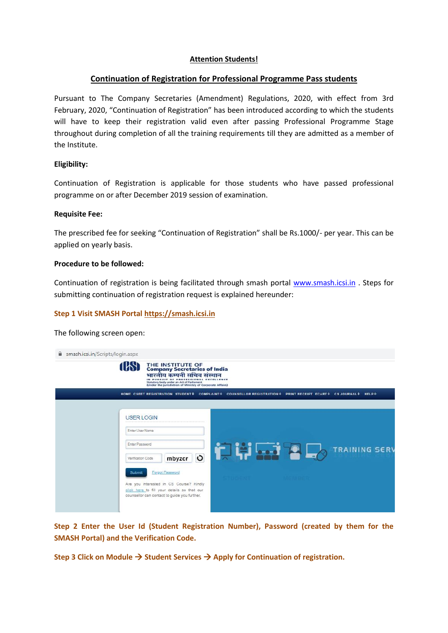## **Attention Students!**

## **Continuation of Registration for Professional Programme Pass students**

Pursuant to The Company Secretaries (Amendment) Regulations, 2020, with effect from 3rd February, 2020, "Continuation of Registration" has been introduced according to which the students will have to keep their registration valid even after passing Professional Programme Stage throughout during completion of all the training requirements till they are admitted as a member of the Institute.

## **Eligibility:**

Continuation of Registration is applicable for those students who have passed professional programme on or after December 2019 session of examination.

### **Requisite Fee:**

The prescribed fee for seeking "Continuation of Registration" shall be Rs.1000/- per year. This can be applied on yearly basis.

#### **Procedure to be followed:**

Continuation of registration is being facilitated through smash portal www.smash.icsi.in . Steps for submitting continuation of registration request is explained hereunder:

### **Step 1 Visit SMASH Portal https://smash.icsi.in**

The following screen open:

| mash.icsi.in/Scripts/login.aspx |                                                                                                                                                                                                                    |
|---------------------------------|--------------------------------------------------------------------------------------------------------------------------------------------------------------------------------------------------------------------|
|                                 | THE INSTITUTE OF<br>Company Secretaries of India<br>भारतीय कम्पनी सचिव संस्थान<br><b>IN PU</b><br>LLENCE<br>Statutory body under an Act of Parliament<br>(Under the jurisdiction of Ministry of Corporate Affairs) |
|                                 | HOME CSEET REGISTRATION STUDENT+ COMPLAINT+ COUNSELLOR REGISTRATION+ PRINT RECEIPT ECART+ CS JOURNAL+ HELP+                                                                                                        |
|                                 |                                                                                                                                                                                                                    |
|                                 | <b>USER LOGIN</b>                                                                                                                                                                                                  |
|                                 | Enter User Name                                                                                                                                                                                                    |
|                                 | Enter Password<br><b>TRAINING SERV</b>                                                                                                                                                                             |
|                                 | $\circ$<br>mbyzcr<br>Verification Code                                                                                                                                                                             |
|                                 | Forgot Password<br>Submit                                                                                                                                                                                          |
|                                 | Are you interested in CS Course? Kindly                                                                                                                                                                            |
|                                 | click here to fill your details so that our<br>counsellor can contact to guide you further.                                                                                                                        |
|                                 |                                                                                                                                                                                                                    |

**Step 2 Enter the User Id (Student Registration Number), Password (created by them for the SMASH Portal) and the Verification Code.**

Step 3 Click on Module → Student Services → Apply for Continuation of registration.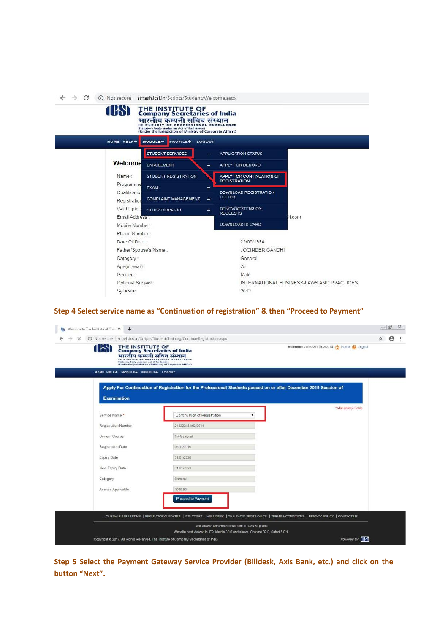| $\rightarrow$ C<br><b>1159</b><br>HOME HELP+  | (i) Not secure   smash.icsi.in/Scripts/Student/Welcome.aspx<br>THE INSTITUTE OF<br>Company Secretaries of India<br>भारतीय कम्पनी सचिव संस्थान<br>IN PURSUIT OF PROFESSI<br>Statutory body under an Act of Parliament<br>(Under the jurisdiction of Ministry of Corporate Affairs)<br>$MODULE-$<br><b>PROFILE+</b><br>LOGOUT |                  |                                                  |         |
|-----------------------------------------------|-----------------------------------------------------------------------------------------------------------------------------------------------------------------------------------------------------------------------------------------------------------------------------------------------------------------------------|------------------|--------------------------------------------------|---------|
|                                               | <b>STUDENT SERVICES</b>                                                                                                                                                                                                                                                                                                     | -                | <b>APPLICATION STATUS</b>                        |         |
| Welcome                                       | <b>ENROLLMENT</b>                                                                                                                                                                                                                                                                                                           | ÷                | APPLY FOR DENOVO                                 |         |
| Name:                                         | STUDENT REGISTRATION                                                                                                                                                                                                                                                                                                        |                  | APPLY FOR CONTINUATION OF<br><b>REGISTRATION</b> |         |
|                                               | Programme<br><b>EXAM</b><br>Qualification                                                                                                                                                                                                                                                                                   | ٠                |                                                  |         |
|                                               | <b>COMPLAINT MANAGEMENT</b><br>Registration                                                                                                                                                                                                                                                                                 | ÷                | DOWNLOAD REGISTRATION<br>LETTER                  |         |
| Valid Unto                                    | <b>STUDY DISPATCH</b>                                                                                                                                                                                                                                                                                                       | $+$              | <b>DENOVO/EXTENSION</b><br><b>REQUESTS</b>       |         |
|                                               | Email Address.                                                                                                                                                                                                                                                                                                              |                  |                                                  | ail.com |
| Mobile Number:                                |                                                                                                                                                                                                                                                                                                                             | DOWNLOAD ID CARD |                                                  |         |
|                                               | Phone Number                                                                                                                                                                                                                                                                                                                |                  |                                                  |         |
| Date Of Birth.<br>Father/Spouse's Name:       |                                                                                                                                                                                                                                                                                                                             |                  | 23/06/1994                                       |         |
|                                               |                                                                                                                                                                                                                                                                                                                             |                  | <b>JOGINDER GANDHI</b>                           |         |
| Category:                                     |                                                                                                                                                                                                                                                                                                                             | General          |                                                  |         |
| Age(in year):<br>Gender:<br>Optional Subject: |                                                                                                                                                                                                                                                                                                                             | 25               |                                                  |         |
|                                               |                                                                                                                                                                                                                                                                                                                             | Male             |                                                  |         |
|                                               |                                                                                                                                                                                                                                                                                                                             |                  | INTERNATIONAL BUSINESS-LAWS AND PRACTICES        |         |
| Syllabus:                                     |                                                                                                                                                                                                                                                                                                                             |                  | 2012                                             |         |

# **Step 4 Select service name as "Continuation of registration" & then "Proceed to Payment"**

| Welcome to The Institute of Corr X<br>$+$<br>œ |                                                                                                                                                                                                                                                                                     |    | $- 23$                |  |
|------------------------------------------------|-------------------------------------------------------------------------------------------------------------------------------------------------------------------------------------------------------------------------------------------------------------------------------------|----|-----------------------|--|
| $\times$                                       | 1 Not secure   smash.icsi.in/Scripts/Student/Training/ContinueRegistration.aspx                                                                                                                                                                                                     | Ŷ. | $\boldsymbol{\Theta}$ |  |
| <b>1081</b>                                    | THE INSTITUTE OF<br>Company Secretaries of India<br>Welcome: 240222181/02/2014 (1) Home (6) Logout<br>भारतीय कम्पनी सचिव संस्थान<br>IN PURSUIT OF PROFESSIONAL EXCELLENCE<br>Statutory body under an Act of Parliament<br>(Under the jurisdiction of Ministry of Corporate Affairs) |    |                       |  |
| HOME HELP+ MODULE+ PROFILE+ LOGOUT             |                                                                                                                                                                                                                                                                                     |    |                       |  |
| <b>Examination</b>                             | Apply For Continuation of Registration for the Professional Students passed on or after December 2019 Session of                                                                                                                                                                    |    |                       |  |
| Service Name *                                 | *Mandatory Fields<br>Continuation of Registration<br>۰                                                                                                                                                                                                                              |    |                       |  |
| Registration Number                            | 240222181/02/2014                                                                                                                                                                                                                                                                   |    |                       |  |
| Current Course                                 | Professional                                                                                                                                                                                                                                                                        |    |                       |  |
| Registration Date                              | 05/11/2015                                                                                                                                                                                                                                                                          |    |                       |  |
| Expiry Date                                    | 31/01/2020                                                                                                                                                                                                                                                                          |    |                       |  |
| New Expiry Date                                | 31/01/2021                                                                                                                                                                                                                                                                          |    |                       |  |
| Category                                       | General                                                                                                                                                                                                                                                                             |    |                       |  |
| Amount Applicable                              | 1000.00                                                                                                                                                                                                                                                                             |    |                       |  |
|                                                | <b>Proceed to Payment</b>                                                                                                                                                                                                                                                           |    |                       |  |
|                                                | JOURNALS & BULLETINS   REGULATORY UPDATES   ICSI-CCGRT   HELP DESK   TV & RADIO SPOTS ON CS   TERMS & CONDITIONS   PRIVACY POLICY   CONTACT US                                                                                                                                      |    |                       |  |
|                                                | Best viewed on screen resolution 1024x768 pixels                                                                                                                                                                                                                                    |    |                       |  |
|                                                | Website best viewed in IE9, Mozila 38.0 and above, Chrome 39.0, Safari 5.0.1<br>Powered by: [HN]<br>Copyright @ 2017. All Rights Reserved. The Institute of Company Secretaries of India                                                                                            |    |                       |  |

**Step 5 Select the Payment Gateway Service Provider (Billdesk, Axis Bank, etc.) and click on the button "Next".**